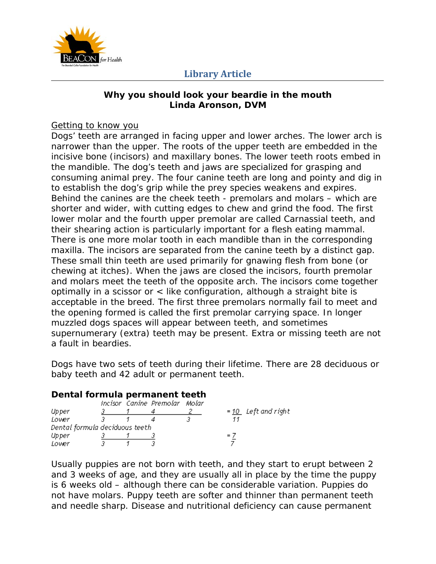

### **Why you should look your beardie in the mouth Linda Aronson, DVM**

#### Getting to know you

Dogs' teeth are arranged in facing upper and lower arches. The lower arch is narrower than the upper. The roots of the upper teeth are embedded in the incisive bone (incisors) and maxillary bones. The lower teeth roots embed in the mandible. The dog's teeth and jaws are specialized for grasping and consuming animal prey. The four canine teeth are long and pointy and dig in to establish the dog's grip while the prey species weakens and expires. Behind the canines are the cheek teeth - premolars and molars – which are shorter and wider, with cutting edges to chew and grind the food. The first lower molar and the fourth upper premolar are called Carnassial teeth, and their shearing action is particularly important for a flesh eating mammal. There is one more molar tooth in each mandible than in the corresponding maxilla. The incisors are separated from the canine teeth by a distinct gap. These small thin teeth are used primarily for gnawing flesh from bone (or chewing at itches). When the jaws are closed the incisors, fourth premolar and molars meet the teeth of the opposite arch. The incisors come together optimally in a scissor or < like configuration, although a straight bite is acceptable in the breed. The first three premolars normally fail to meet and the opening formed is called the first premolar carrying space. In longer muzzled dogs spaces will appear between teeth, and sometimes supernumerary (extra) teeth may be present. Extra or missing teeth are not a fault in beardies.

Dogs have two sets of teeth during their lifetime. There are 28 deciduous or baby teeth and 42 adult or permanent teeth.

### **Dental formula permanent teeth**

|                                |  | Incisor Canine Premolar Molar |                       |
|--------------------------------|--|-------------------------------|-----------------------|
| Upper                          |  |                               | $= 10$ Left and right |
| Lower                          |  |                               |                       |
| Dental formula deciduous teeth |  |                               |                       |
| Upper                          |  |                               | $=$ 7                 |
| Lower                          |  |                               |                       |

Usually puppies are not born with teeth, and they start to erupt between 2 and 3 weeks of age, and they are usually all in place by the time the puppy is 6 weeks old – although there can be considerable variation. Puppies do not have molars. Puppy teeth are softer and thinner than permanent teeth and needle sharp. Disease and nutritional deficiency can cause permanent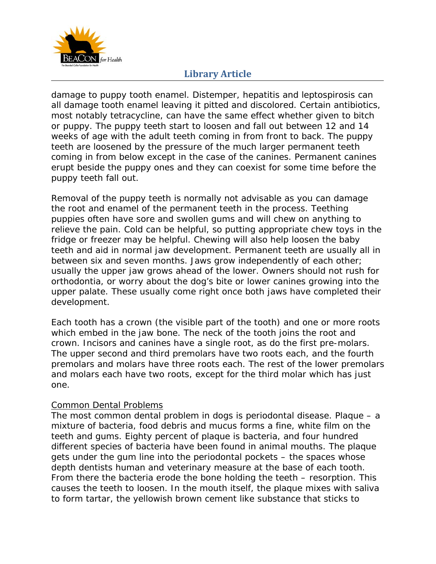

damage to puppy tooth enamel. Distemper, hepatitis and leptospirosis can all damage tooth enamel leaving it pitted and discolored. Certain antibiotics, most notably tetracycline, can have the same effect whether given to bitch or puppy. The puppy teeth start to loosen and fall out between 12 and 14 weeks of age with the adult teeth coming in from front to back. The puppy teeth are loosened by the pressure of the much larger permanent teeth coming in from below except in the case of the canines. Permanent canines erupt beside the puppy ones and they can coexist for some time before the puppy teeth fall out.

Removal of the puppy teeth is normally not advisable as you can damage the root and enamel of the permanent teeth in the process. Teething puppies often have sore and swollen gums and will chew on anything to relieve the pain. Cold can be helpful, so putting appropriate chew toys in the fridge or freezer may be helpful. Chewing will also help loosen the baby teeth and aid in normal jaw development. Permanent teeth are usually all in between six and seven months. Jaws grow independently of each other; usually the upper jaw grows ahead of the lower. Owners should not rush for orthodontia, or worry about the dog's bite or lower canines growing into the upper palate. These usually come right once both jaws have completed their development.

Each tooth has a crown (the visible part of the tooth) and one or more roots which embed in the jaw bone. The neck of the tooth joins the root and crown. Incisors and canines have a single root, as do the first pre-molars. The upper second and third premolars have two roots each, and the fourth premolars and molars have three roots each. The rest of the lower premolars and molars each have two roots, except for the third molar which has just one.

### Common Dental Problems

The most common dental problem in dogs is periodontal disease. Plaque – a mixture of bacteria, food debris and mucus forms a fine, white film on the teeth and gums. Eighty percent of plaque is bacteria, and four hundred different species of bacteria have been found in animal mouths. The plaque gets under the gum line into the periodontal pockets – the spaces whose depth dentists human and veterinary measure at the base of each tooth. From there the bacteria erode the bone holding the teeth – resorption. This causes the teeth to loosen. In the mouth itself, the plaque mixes with saliva to form tartar, the yellowish brown cement like substance that sticks to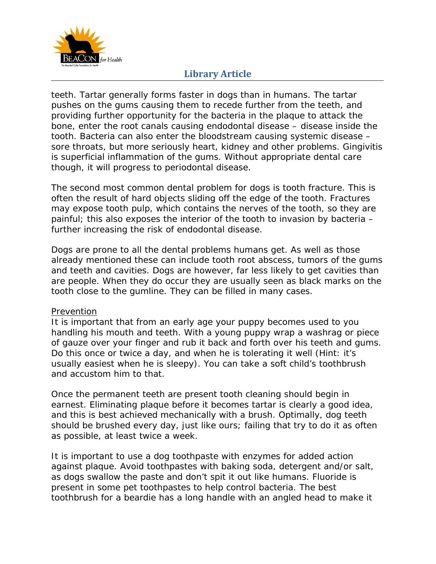

teeth. Tartar generally forms faster in dogs than in humans. The tartar pushes on the gums causing them to recede further from the teeth, and providing further opportunity for the bacteria in the plaque to attack the bone, enter the root canals causing endodontal disease – disease inside the tooth. Bacteria can also enter the bloodstream causing systemic disease – sore throats, but more seriously heart, kidney and other problems. Gingivitis is superficial inflammation of the gums. Without appropriate dental care though, it will progress to periodontal disease.

The second most common dental problem for dogs is tooth fracture. This is often the result of hard objects sliding off the edge of the tooth. Fractures may expose tooth pulp, which contains the nerves of the tooth, so they are painful; this also exposes the interior of the tooth to invasion by bacteria – further increasing the risk of endodontal disease.

Dogs are prone to all the dental problems humans get. As well as those already mentioned these can include tooth root abscess, tumors of the gums and teeth and cavities. Dogs are however, far less likely to get cavities than are people. When they do occur they are usually seen as black marks on the tooth close to the gumline. They can be filled in many cases.

#### Prevention

It is important that from an early age your puppy becomes used to you handling his mouth and teeth. With a young puppy wrap a washrag or piece of gauze over your finger and rub it back and forth over his teeth and gums. Do this once or twice a day, and when he is tolerating it well (Hint: it's usually easiest when he is sleepy). You can take a soft child's toothbrush and accustom him to that.

Once the permanent teeth are present tooth cleaning should begin in earnest. Eliminating plaque before it becomes tartar is clearly a good idea, and this is best achieved mechanically with a brush. Optimally, dog teeth should be brushed every day, just like ours; failing that try to do it as often as possible, at least twice a week.

It is important to use a dog toothpaste with enzymes for added action against plaque. Avoid toothpastes with baking soda, detergent and/or salt, as dogs swallow the paste and don't spit it out like humans. Fluoride is present in some pet toothpastes to help control bacteria. The best toothbrush for a beardie has a long handle with an angled head to make it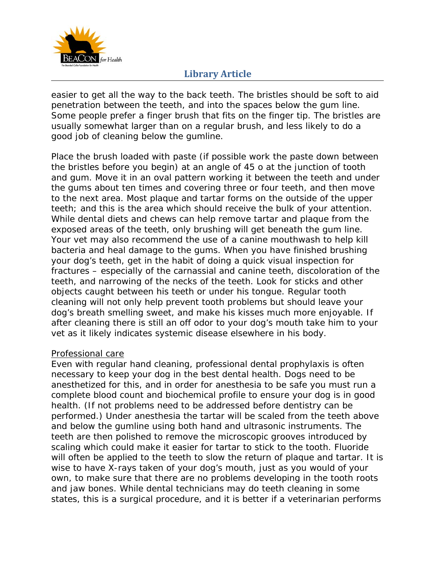

easier to get all the way to the back teeth. The bristles should be soft to aid penetration between the teeth, and into the spaces below the gum line. Some people prefer a finger brush that fits on the finger tip. The bristles are usually somewhat larger than on a regular brush, and less likely to do a good job of cleaning below the gumline.

Place the brush loaded with paste (if possible work the paste down between the bristles before you begin) at an angle of 45 o at the junction of tooth and gum. Move it in an oval pattern working it between the teeth and under the gums about ten times and covering three or four teeth, and then move to the next area. Most plaque and tartar forms on the outside of the upper teeth; and this is the area which should receive the bulk of your attention. While dental diets and chews can help remove tartar and plaque from the exposed areas of the teeth, only brushing will get beneath the gum line. Your vet may also recommend the use of a canine mouthwash to help kill bacteria and heal damage to the gums. When you have finished brushing your dog's teeth, get in the habit of doing a quick visual inspection for fractures – especially of the carnassial and canine teeth, discoloration of the teeth, and narrowing of the necks of the teeth. Look for sticks and other objects caught between his teeth or under his tongue. Regular tooth cleaning will not only help prevent tooth problems but should leave your dog's breath smelling sweet, and make his kisses much more enjoyable. If after cleaning there is still an off odor to your dog's mouth take him to your vet as it likely indicates systemic disease elsewhere in his body.

#### Professional care

Even with regular hand cleaning, professional dental prophylaxis is often necessary to keep your dog in the best dental health. Dogs need to be anesthetized for this, and in order for anesthesia to be safe you must run a complete blood count and biochemical profile to ensure your dog is in good health. (If not problems need to be addressed before dentistry can be performed.) Under anesthesia the tartar will be scaled from the teeth above and below the gumline using both hand and ultrasonic instruments. The teeth are then polished to remove the microscopic grooves introduced by scaling which could make it easier for tartar to stick to the tooth. Fluoride will often be applied to the teeth to slow the return of plaque and tartar. It is wise to have X-rays taken of your dog's mouth, just as you would of your own, to make sure that there are no problems developing in the tooth roots and jaw bones. While dental technicians may do teeth cleaning in some states, this is a surgical procedure, and it is better if a veterinarian performs